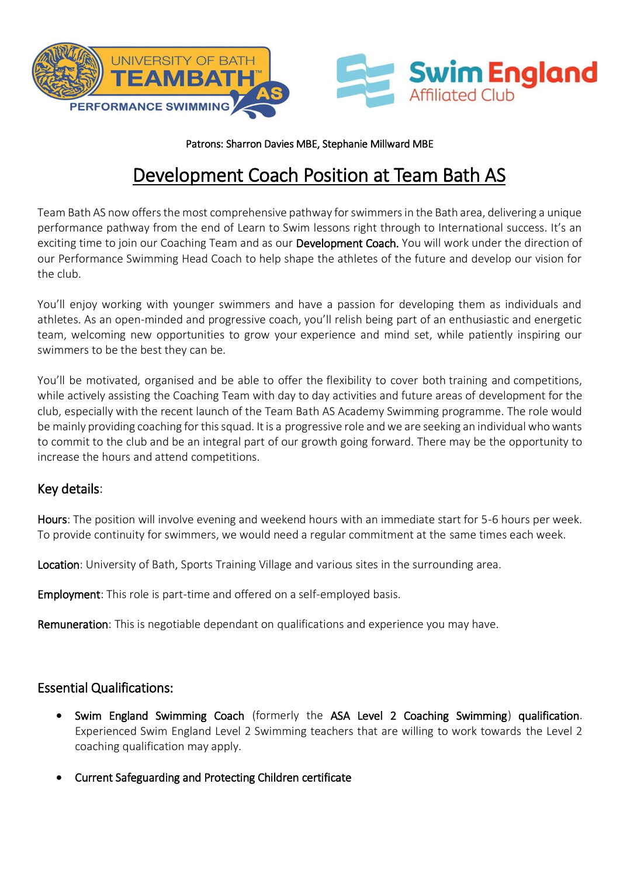



Patrons: Sharron Davies MBE, Stephanie Millward MBE

# Development Coach Position at Team Bath AS

Team Bath AS now offers the most comprehensive pathway for swimmers in the Bath area, delivering a unique performance pathway from the end of Learn to Swim lessons right through to International success. It's an exciting time to join our Coaching Team and as our Development Coach. You will work under the direction of our Performance Swimming Head Coach to help shape the athletes of the future and develop our vision for the club.

You'll enjoy working with younger swimmers and have a passion for developing them as individuals and athletes. As an open-minded and progressive coach, you'll relish being part of an enthusiastic and energetic team, welcoming new opportunities to grow your experience and mind set, while patiently inspiring our swimmers to be the best they can be.

You'll be motivated, organised and be able to offer the flexibility to cover both training and competitions, while actively assisting the Coaching Team with day to day activities and future areas of development for the club, especially with the recent launch of the Team Bath AS Academy Swimming programme. The role would be mainly providing coaching for this squad. It is a progressive role and we are seeking an individual who wants to commit to the club and be an integral part of our growth going forward. There may be the opportunity to increase the hours and attend competitions.

#### Key details:

Hours: The position will involve evening and weekend hours with an immediate start for 5-6 hours per week. To provide continuity for swimmers, we would need a regular commitment at the same times each week.

Location: University of Bath, Sports Training Village and various sites in the surrounding area.

Employment: This role is part-time and offered on a self-employed basis.

Remuneration: This is negotiable dependant on qualifications and experience you may have.

#### Essential Qualifications:

- Swim England Swimming Coach (formerly the ASA Level 2 Coaching Swimming) qualification. Experienced Swim England Level 2 Swimming teachers that are willing to work towards the Level 2 coaching qualification may apply.
- Current Safeguarding and Protecting Children certificate